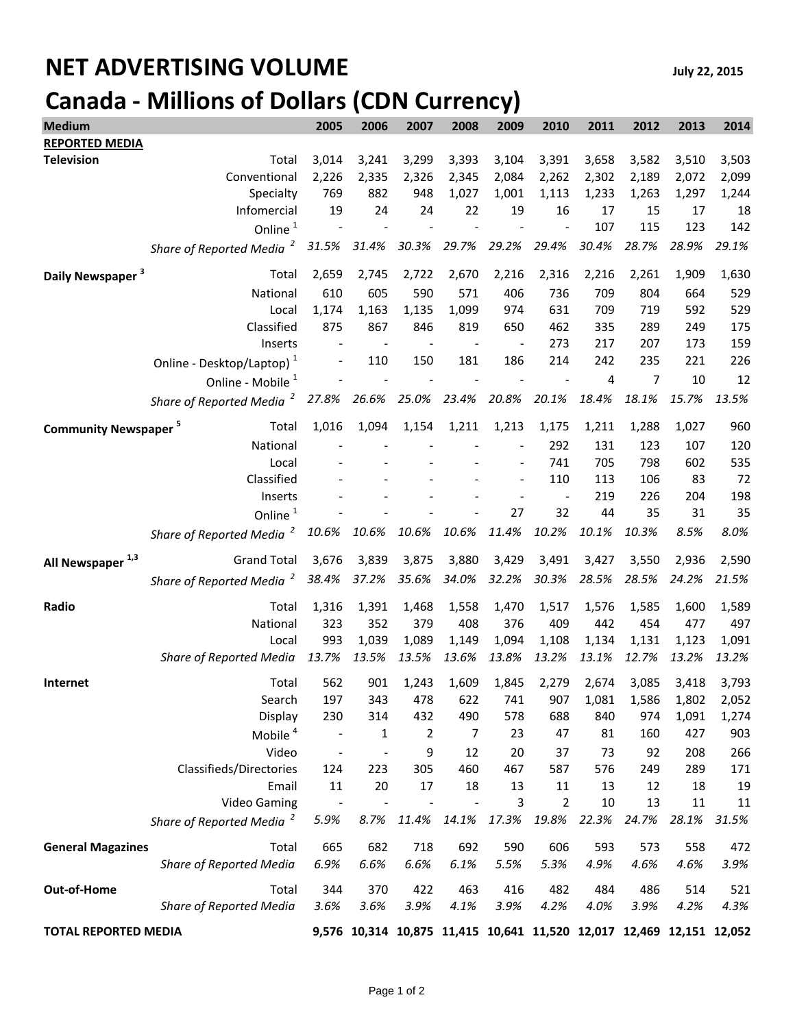## **NET ADVERTISING VOLUME** *July 22, 2015* **Canada - Millions of Dollars (CDN Currency)**

| <b>Medium</b>                          |                                                           | 2005  | 2006  | 2007  | 2008                                                                 | 2009  | 2010           | 2011           | 2012  | 2013  | 2014  |
|----------------------------------------|-----------------------------------------------------------|-------|-------|-------|----------------------------------------------------------------------|-------|----------------|----------------|-------|-------|-------|
| <b>REPORTED MEDIA</b>                  |                                                           |       |       |       |                                                                      |       |                |                |       |       |       |
| <b>Television</b>                      | Total                                                     | 3,014 | 3,241 | 3,299 | 3,393                                                                | 3,104 | 3,391          | 3,658          | 3,582 | 3,510 | 3,503 |
|                                        | Conventional                                              | 2,226 | 2,335 | 2,326 | 2,345                                                                | 2,084 | 2,262          | 2,302          | 2,189 | 2,072 | 2,099 |
|                                        | Specialty                                                 | 769   | 882   | 948   | 1,027                                                                | 1,001 | 1,113          | 1,233          | 1,263 | 1,297 | 1,244 |
|                                        | Infomercial                                               | 19    | 24    | 24    | 22                                                                   | 19    | 16             | 17             | 15    | 17    | 18    |
|                                        | Online <sup>1</sup>                                       |       |       |       |                                                                      |       |                | 107            | 115   | 123   | 142   |
|                                        | $\overline{\mathbf{z}}$<br><b>Share of Reported Media</b> | 31.5% | 31.4% | 30.3% | 29.7%                                                                | 29.2% | 29.4%          | 30.4%          | 28.7% | 28.9% | 29.1% |
| Daily Newspaper <sup>3</sup>           | Total                                                     | 2,659 | 2,745 | 2,722 | 2,670                                                                | 2,216 | 2,316          | 2,216          | 2,261 | 1,909 | 1,630 |
|                                        | National                                                  | 610   | 605   | 590   | 571                                                                  | 406   | 736            | 709            | 804   | 664   | 529   |
|                                        | Local                                                     | 1,174 | 1,163 | 1,135 | 1,099                                                                | 974   | 631            | 709            | 719   | 592   | 529   |
|                                        | Classified                                                | 875   | 867   | 846   | 819                                                                  | 650   | 462            | 335            | 289   | 249   | 175   |
|                                        | Inserts                                                   |       |       |       |                                                                      |       | 273            | 217            | 207   | 173   | 159   |
|                                        | Online - Desktop/Laptop) <sup>1</sup>                     |       | 110   | 150   | 181                                                                  | 186   | 214            | 242            | 235   | 221   | 226   |
|                                        | Online - Mobile <sup>1</sup>                              |       |       |       |                                                                      |       |                | $\overline{4}$ | 7     | 10    | 12    |
|                                        | Share of Reported Media <sup>2</sup>                      | 27.8% | 26.6% | 25.0% | 23.4%                                                                | 20.8% | 20.1%          | 18.4%          | 18.1% | 15.7% | 13.5% |
| <b>Community Newspaper<sup>5</sup></b> | Total                                                     | 1,016 | 1,094 | 1,154 | 1,211                                                                | 1,213 | 1,175          | 1,211          | 1,288 | 1,027 | 960   |
|                                        | National                                                  |       |       |       |                                                                      |       | 292            | 131            | 123   | 107   | 120   |
|                                        | Local                                                     |       |       |       |                                                                      |       | 741            | 705            | 798   | 602   | 535   |
|                                        | Classified                                                |       |       |       |                                                                      |       | 110            | 113            | 106   | 83    | 72    |
|                                        | Inserts                                                   |       |       |       |                                                                      |       |                | 219            | 226   | 204   | 198   |
|                                        | Online <sup>1</sup>                                       |       |       |       |                                                                      | 27    | 32             | 44             | 35    | 31    | 35    |
|                                        | Share of Reported Media <sup>2</sup>                      | 10.6% | 10.6% | 10.6% | 10.6%                                                                | 11.4% | 10.2%          | 10.1%          | 10.3% | 8.5%  | 8.0%  |
| All Newspaper <sup>1,3</sup>           | <b>Grand Total</b>                                        | 3,676 | 3,839 | 3,875 | 3,880                                                                | 3,429 | 3,491          | 3,427          | 3,550 | 2,936 | 2,590 |
|                                        | Share of Reported Media <sup>2</sup>                      | 38.4% | 37.2% | 35.6% | 34.0%                                                                | 32.2% | 30.3%          | 28.5%          | 28.5% | 24.2% | 21.5% |
| Radio                                  | Total                                                     | 1,316 | 1,391 | 1,468 | 1,558                                                                | 1,470 | 1,517          | 1,576          | 1,585 | 1,600 | 1,589 |
|                                        | National                                                  | 323   | 352   | 379   | 408                                                                  | 376   | 409            | 442            | 454   | 477   | 497   |
|                                        | Local                                                     | 993   | 1,039 | 1,089 | 1,149                                                                | 1,094 | 1,108          | 1,134          | 1,131 | 1,123 | 1,091 |
|                                        | <b>Share of Reported Media</b>                            | 13.7% | 13.5% | 13.5% | 13.6%                                                                | 13.8% | 13.2%          | 13.1%          | 12.7% | 13.2% | 13.2% |
| Internet                               | Total                                                     | 562   | 901   | 1,243 | 1,609                                                                | 1,845 | 2,279          | 2,674          | 3,085 | 3,418 | 3,793 |
|                                        | Search                                                    | 197   | 343   | 478   | 622                                                                  | 741   | 907            | 1,081          | 1,586 | 1,802 | 2,052 |
|                                        | Display                                                   | 230   | 314   | 432   | 490                                                                  | 578   | 688            | 840            | 974   | 1,091 | 1,274 |
|                                        | Mobile <sup>4</sup>                                       |       | 1     | 2     | $\overline{7}$                                                       | 23    | 47             | 81             | 160   | 427   | 903   |
|                                        | Video                                                     |       |       | 9     | 12                                                                   | 20    | 37             | 73             | 92    | 208   | 266   |
|                                        | Classifieds/Directories                                   | 124   | 223   | 305   | 460                                                                  | 467   | 587            | 576            | 249   | 289   | 171   |
|                                        | Email                                                     | 11    | 20    | 17    | 18                                                                   | 13    | 11             | 13             | 12    | 18    | 19    |
|                                        | <b>Video Gaming</b>                                       |       |       |       |                                                                      | 3     | $\overline{2}$ | 10             | 13    | 11    | 11    |
|                                        | Share of Reported Media <sup>2</sup>                      | 5.9%  | 8.7%  | 11.4% | 14.1%                                                                | 17.3% | 19.8%          | 22.3%          | 24.7% | 28.1% | 31.5% |
| <b>General Magazines</b>               | Total                                                     | 665   | 682   | 718   | 692                                                                  | 590   | 606            | 593            | 573   | 558   | 472   |
|                                        | <b>Share of Reported Media</b>                            | 6.9%  | 6.6%  | 6.6%  | 6.1%                                                                 | 5.5%  | 5.3%           | 4.9%           | 4.6%  | 4.6%  | 3.9%  |
| Out-of-Home                            | Total                                                     | 344   | 370   | 422   | 463                                                                  | 416   | 482            | 484            | 486   | 514   | 521   |
|                                        | Share of Reported Media                                   | 3.6%  | 3.6%  | 3.9%  | 4.1%                                                                 | 3.9%  | 4.2%           | 4.0%           | 3.9%  | 4.2%  | 4.3%  |
| <b>TOTAL REPORTED MEDIA</b>            |                                                           |       |       |       | 9,576 10,314 10,875 11,415 10,641 11,520 12,017 12,469 12,151 12,052 |       |                |                |       |       |       |